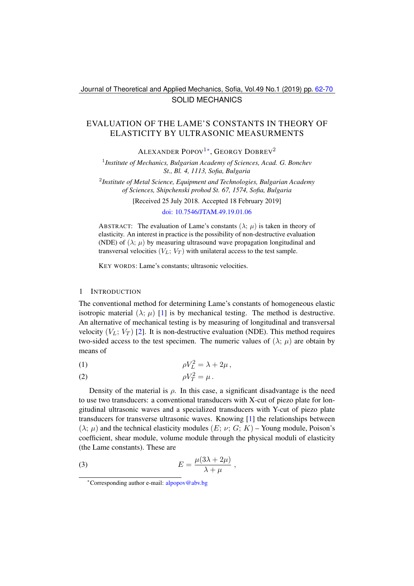Journal of Theoretical and Applied Mechanics, Sofia, Vol.49 No.1 (2019) pp. [62](#page-0-0)[-70](#page-8-0) SOLID MECHANICS

# <span id="page-0-0"></span>EVALUATION OF THE LAME'S CONSTANTS IN THEORY OF ELASTICITY BY ULTRASONIC MEASURMENTS

ALEXANDER POPOV<sup>1[∗](#page-0-1)</sup>, GEORGY DOBREV<sup>2</sup>

1 *Institute of Mechanics, Bulgarian Academy of Sciences, Acad. G. Bonchev St., Bl. 4, 1113, Sofia, Bulgaria*

2 *Institute of Metal Science, Equipment and Technologies, Bulgarian Academy of Sciences, Shipchenski prohod St. 67, 1574, Sofia, Bulgaria*

[Received 25 July 2018. Accepted 18 February 2019]

#### [doi: 10.7546/JTAM.49.19.01.06](https://doi.org/10.7546/JTAM.49.19.01.06)

ABSTRACT: The evaluation of Lame's constants  $(\lambda; \mu)$  is taken in theory of elasticity. An interest in practice is the possibility of non-destructive evaluation (NDE) of  $(\lambda; \mu)$  by measuring ultrasound wave propagation longitudinal and transversal velocities  $(V_L; V_T)$  with unilateral access to the test sample.

KEY WORDS: Lame's constants; ultrasonic velocities.

#### 1 INTRODUCTION

The conventional method for determining Lame's constants of homogeneous elastic isotropic material  $(\lambda; \mu)$  [\[1\]](#page-7-0) is by mechanical testing. The method is destructive. An alternative of mechanical testing is by measuring of longitudinal and transversal velocity  $(V_L; V_T)$  [\[2\]](#page-7-1). It is non-destructive evaluation (NDE). This method requires two-sided access to the test specimen. The numeric values of  $(\lambda; \mu)$  are obtain by means of

<span id="page-0-4"></span>
$$
\rho V_L^2 = \lambda + 2\mu \,,
$$

<span id="page-0-2"></span>
$$
\rho V_T^2 = \mu \, .
$$

Density of the material is  $\rho$ . In this case, a significant disadvantage is the need to use two transducers: a conventional transducers with X-cut of piezo plate for longitudinal ultrasonic waves and a specialized transducers with Y-cut of piezo plate transducers for transverse ultrasonic waves. Knowing [\[1\]](#page-7-0) the relationships between  $(\lambda; \mu)$  and the technical elasticity modules  $(E; \nu; G; K)$  – Young module, Poison's coefficient, shear module, volume module through the physical moduli of elasticity (the Lame constants). These are

<span id="page-0-3"></span>(3) 
$$
E = \frac{\mu(3\lambda + 2\mu)}{\lambda + \mu},
$$

<span id="page-0-1"></span><sup>∗</sup>Corresponding author e-mail: [alpopov@abv.bg](mailto:alpopov@abv.bg)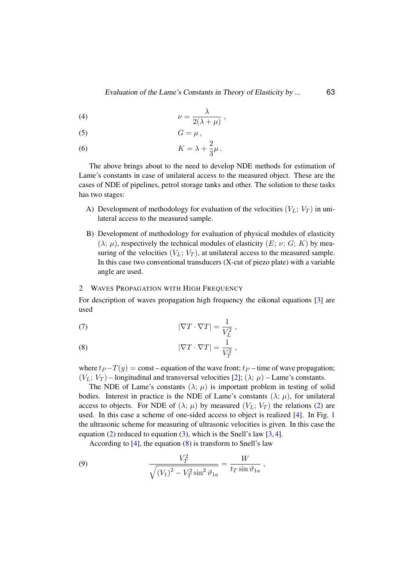$$
\nu = \frac{\lambda}{2(\lambda + \mu)}\,,
$$

$$
(5) \tG = \mu,
$$

(6) 
$$
K = \lambda + \frac{2}{3}\mu.
$$

The above brings about to the need to develop NDE methods for estimation of Lame's constants in case of unilateral access to the measured object. These are the cases of NDE of pipelines, petrol storage tanks and other. The solution to these tasks has two stages:

- A) Development of methodology for evaluation of the velocities  $(V_L; V_T)$  in unilateral access to the measured sample.
- B) Development of methodology for evaluation of physical modules of elasticity  $(\lambda; \mu)$ , respectively the technical modules of elasticity  $(E; \nu; G; K)$  by measuring of the velocities  $(V_L; V_T)$ , at unilateral access to the measured sample. In this case two conventional transducers (X-cut of piezo plate) with a variable angle are used.

### 2 WAVES PROPAGATION WITH HIGH FREQUENCY

For description of waves propagation high frequency the eikonal equations [\[3\]](#page-7-2) are used

(7) 
$$
|\nabla T \cdot \nabla T| = \frac{1}{V_L^2},
$$

<span id="page-1-0"></span>(8) 
$$
|\nabla T \cdot \nabla T| = \frac{1}{V_T^2},
$$

where  $t_P - T(y) = \text{const}$  – equation of the wave front;  $t_P$  – time of wave propagation;  $(V_L; V_T)$  – longitudinal and transversal velocities [\[2\]](#page-7-1);  $(\lambda; \mu)$  – Lame's constants.

The NDE of Lame's constants  $(\lambda; \mu)$  is important problem in testing of solid bodies. Interest in practice is the NDE of Lame's constants  $(\lambda; \mu)$ , for unilateral access to objects. For NDE of  $(\lambda; \mu)$  by measured  $(V_L; V_T)$  the relations [\(2\)](#page-0-2) are used. In this case a scheme of one-sided access to object is realized [\[4\]](#page-7-3). In Fig. [1](#page-2-0) the ultrasonic scheme for measuring of ultrasonic velocities is given. In this case the equation [\(2\)](#page-0-2) reduced to equation [\(3\)](#page-0-3), which is the Snell's law  $[3, 4]$  $[3, 4]$  $[3, 4]$ .

<span id="page-1-1"></span>According to  $[4]$ , the equation  $(8)$  is transform to Snell's law

(9) 
$$
\frac{V_T^2}{\sqrt{(V_1)^2 - V_T^2 \sin^2 \vartheta_{1a}}} = \frac{W}{t_T \sin \vartheta_{1a}} ,
$$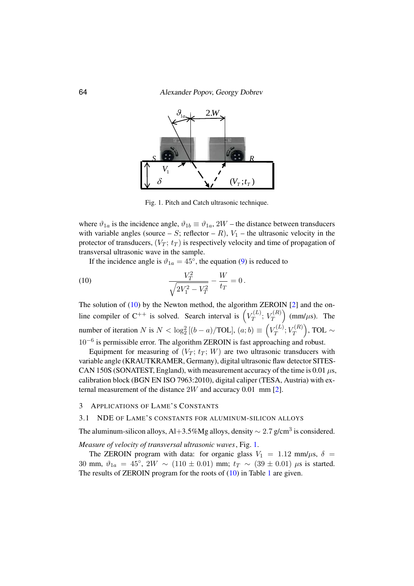

<span id="page-2-1"></span><span id="page-2-0"></span>Fig. 1. Pitch and Catch ultrasonic technique.

where  $\theta_{1a}$  is the incidence angle,  $\theta_{1b} = \theta_{1a}$ ,  $2W$  – the ultrasonic velocity in the with variable angles (source – S; reflector – R),  $V_1$  – the ultrasonic velocity in the where  $\vartheta_{1a}$  is the incidence angle,  $\vartheta_{1b} \equiv \vartheta_{1a}$ , 2W – the distance between transducers protector of transducers,  $(V_T; t_T)$  is respectively velocity and time of propagation of transversal ultrasonic wave in the sample.

 $(10000)$ If the incidence angle is  $\vartheta_{1a} = 45^\circ$ , the equation [\(9\)](#page-1-1) is reduced to

(10) 
$$
\frac{V_T^2}{\sqrt{2V_1^2 - V_T^2}} - \frac{W}{t_T} = 0.
$$

The solution of  $(10)$  by the Newton method, the algorithm ZEROIN  $[2]$  and the online compiler of C<sup>++</sup> is solved. Search interval is  $\left(V_T^{(L)}\right)$  $V^{(L)}_T;\,V^{(R)}_T$  $\binom{r(R)}{T}$  (mm/ $\mu$ s). The number of iteration N is  $N < \log_2^2 [(b-a)/\text{TOL}]$ ,  $(a, b) \equiv \left( V_T^{(L)} \right)$  $V^{(L)}_T; V^{(R)}_T$  $\binom{T(R)}{T}, \, \text{TOL} \sim$ 10−<sup>6</sup> is permissible error. The algorithm ZEROIN is fast approaching and robust.

Equipment for measuring of  $(V_T; t_T; W)$  are two ultrasonic transducers with variable angle (KRAUTKRAMER, Germany), digital ultrasonic flaw detector SITES-CAN 150S (SONATEST, England), with measurement accuracy of the time is  $0.01 \mu s$ , calibration block (BGN EN ISO 7963:2010), digital caliper (TESA, Austria) with external measurement of the distance 2W and accuracy 0.01 mm [\[2\]](#page-7-1).

## 3 APPLICATIONS OF LAME'S CONSTANTS

### 3.1 NDE OF LAME'S CONSTANTS FOR ALUMINUM-SILICON ALLOYS

The aluminum-silicon alloys, Al+3.5%Mg alloys, density  $\sim 2.7$  g/cm<sup>3</sup> is considered.

*Measure of velocity of transversal ultrasonic waves*, Fig. [1.](#page-2-0)

The ZEROIN program with data: for organic glass  $V_1 = 1.12$  mm/ $\mu$ s,  $\delta =$ 30 mm,  $\vartheta_{1a} = 45^{\circ}$ ,  $2W \sim (110 \pm 0.01)$  mm;  $t_T \sim (39 \pm 0.01)$   $\mu$ s is started. The results of ZEROIN program for the roots of [\(10\)](#page-2-1) in Table [1](#page-3-0) are given.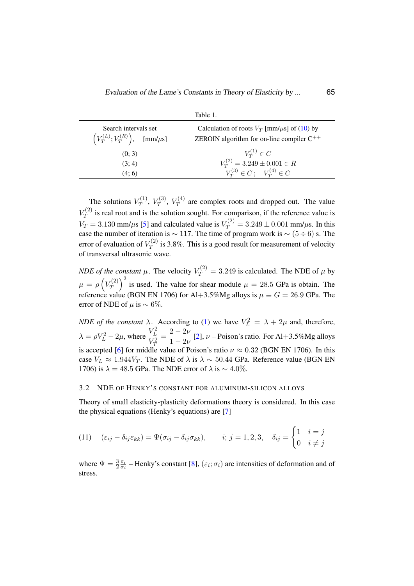<span id="page-3-0"></span>

| Table 1.                                                           |                                                                                                       |  |
|--------------------------------------------------------------------|-------------------------------------------------------------------------------------------------------|--|
| Search intervals set<br>$(V_T^{(L)}; V_T^{(R)}), \quad [mm/\mu s]$ | Calculation of roots $V_T$ [mm/ $\mu$ s] of (10) by<br>ZEROIN algorithm for on-line compiler $C^{++}$ |  |
| (0; 3)                                                             |                                                                                                       |  |
| (3; 4)                                                             | $V_T^{(1)} \in C$ $V_T^{(2)} = 3.249 \pm 0.001 \in R$                                                 |  |
| (4; 6)                                                             | $V_T^{(3)} \in C$ ; $V_T^{(4)} \in C$                                                                 |  |

The solutions  $V_T^{(1)}$  $V^{(1)}_T,\,V^{(3)}_T$  $V_T^{(3)},\ V_T^{(4)}$  $T^{(4)}$  are complex roots and dropped out. The value  $V^{(2)}_T$  $T^{(2)}$  is real root and is the solution sought. For comparison, if the reference value is  $V_T = 3.130$  mm/ $\mu$ s [\[5\]](#page-7-4) and calculated value is  $V_T^{(2)} = 3.249 \pm 0.001$  mm/ $\mu$ s. In this case the number of iteration is  $\sim$  117. The time of program work is  $\sim$  (5 ÷ 6) s. The error of evaluation of  $V_T^{(2)}$  $T^{(2)}$  is 3.8%. This is a good result for measurement of velocity of transversal ultrasonic wave.

*NDE of the constant*  $\mu$ . The velocity  $V_T^{(2)} = 3.249$  is calculated. The NDE of  $\mu$  by  $\mu = \rho\left(V_T^{(2)}\right)$  $T(T^{(2)}_{T})^2$  is used. The value for shear module  $\mu = 28.5$  GPa is obtain. The reference value (BGN EN 1706) for Al+3.5%Mg alloys is  $\mu \equiv G = 26.9$  GPa. The error of NDE of  $\mu$  is ~ 6%.

*NDE of the constant*  $\lambda$ . According to [\(1\)](#page-0-4) we have  $V_L^2 = \lambda + 2\mu$  and, therefore,  $\lambda = \rho V_L^2 - 2\mu$ , where  $\frac{V_L^2}{V^2}$  $V_T^2$  $=\frac{2-2\nu}{1-2\nu}$  $\frac{2-\mu}{1-2\nu}$  [\[2\]](#page-7-1),  $\nu$  – Poison's ratio. For Al+3.5%Mg alloys is accepted [\[6\]](#page-7-5) for middle value of Poison's ratio  $\nu \approx 0.32$  (BGN EN 1706). In this case  $V_L \approx 1.944V_T$ . The NDE of  $\lambda$  is  $\lambda \sim 50.44$  GPa. Reference value (BGN EN 1706) is  $\lambda = 48.5$  GPa. The NDE error of  $\lambda$  is  $\sim 4.0\%$ .

## 3.2 NDE OF HENKY'S CONSTANT FOR ALUMINUM-SILICON ALLOYS

Theory of small elasticity-plasticity deformations theory is considered. In this case the physical equations (Henky's equations) are [\[7\]](#page-7-6)

<span id="page-3-1"></span>(11) 
$$
(\varepsilon_{ij} - \delta_{ij}\varepsilon_{kk}) = \Psi(\sigma_{ij} - \delta_{ij}\sigma_{kk}), \qquad i; j = 1, 2, 3, \quad \delta_{ij} = \begin{cases} 1 & i = j \\ 0 & i \neq j \end{cases}
$$

where  $\Psi = \frac{3}{2} \frac{\varepsilon_i}{\sigma_i}$  $\frac{\varepsilon_i}{\sigma_i}$  – Henky's constant [\[8\]](#page-8-1),  $(\varepsilon_i; \sigma_i)$  are intensities of deformation and of stress.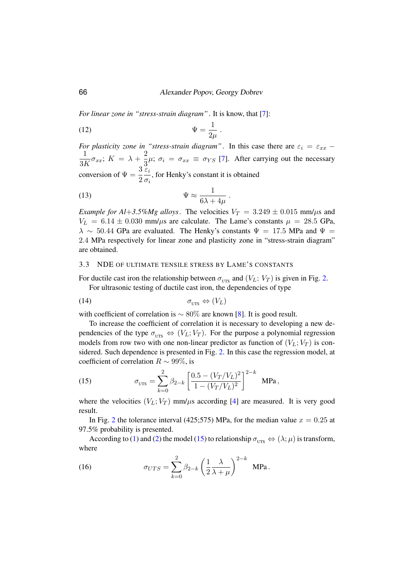.

*For linear zone in "stress-strain diagram"*. It is know, that [\[7\]](#page-7-6):

$$
\Psi = \frac{1}{2\mu}
$$

*For plasticity zone in "stress-strain diagram"*. In this case there are  $\varepsilon_i = \varepsilon_{xx}$  − 1  $\frac{1}{3K}\sigma_{xx}$ ;  $K = \lambda + \frac{2}{3}$  $\frac{2}{3}\mu$ ;  $\sigma_i = \sigma_{xx} \equiv \sigma_{YS}$  [\[7\]](#page-7-6). After carrying out the necessary conversion of  $\Psi = \frac{3}{2}$  $\varepsilon_i$  $\frac{\partial u}{\partial t}$ , for Henky's constant it is obtained

(13) 
$$
\Psi \approx \frac{1}{6\lambda + 4\mu} \ .
$$

*Example for Al*+3.5%*Mg alloys*. The velocities  $V_T = 3.249 \pm 0.015$  mm/ $\mu$ s and  $V_L = 6.14 \pm 0.030$  mm/ $\mu$ s are calculate. The Lame's constants  $\mu = 28.5$  GPa,  $\lambda \sim 50.44$  GPa are evaluated. The Henky's constants  $\Psi = 17.5$  MPa and  $\Psi =$ 2.4 MPa respectively for linear zone and plasticity zone in "stress-strain diagram" are obtained.

### 3.3 NDE OF ULTIMATE TENSILE STRESS BY LAME'S CONSTANTS

For ductile cast iron the relationship between  $\sigma_{UTS}$  and  $(V_L; V_T)$  is given in Fig. [2.](#page-5-0) For ultrasonic testing of ductile cast iron, the dependencies of type

$$
\sigma_{\text{UTS}} \Leftrightarrow (V_L)
$$

with coefficient of correlation is  $\sim 80\%$  are known [\[8\]](#page-8-1). It is good result.

To increase the coefficient of correlation it is necessary to developing a new dependencies of the type  $\sigma_{\text{trrs}} \Leftrightarrow (V_L; V_T)$ . For the purpose a polynomial regression models from row two with one non-linear predictor as function of  $(V_L; V_T)$  is considered. Such dependence is presented in Fig. [2.](#page-5-0) In this case the regression model, at coefficient of correlation  $R \sim 99\%$ , is

<span id="page-4-0"></span>(15) 
$$
\sigma_{\text{UTS}} = \sum_{k=0}^{2} \beta_{2-k} \left[ \frac{0.5 - (V_T/V_L)^2}{1 - (V_T/V_L)^2} \right]^{2-k} \text{ MPa},
$$

where the velocities  $(V_L; V_T)$  mm/ $\mu$ s according [\[4\]](#page-7-3) are measured. It is very good result.

In Fig. [2](#page-5-0) the tolerance interval (425;575) MPa, for the median value  $x = 0.25$  at 97.5% probability is presented.

According to [\(1\)](#page-0-4) and [\(2\)](#page-0-2) the model [\(15\)](#page-4-0) to relationship  $\sigma_{\text{UTS}} \Leftrightarrow (\lambda; \mu)$  is transform, where

(16) 
$$
\sigma_{UTS} = \sum_{k=0}^{2} \beta_{2-k} \left(\frac{1}{2} \frac{\lambda}{\lambda + \mu}\right)^{2-k} \text{ MPa}.
$$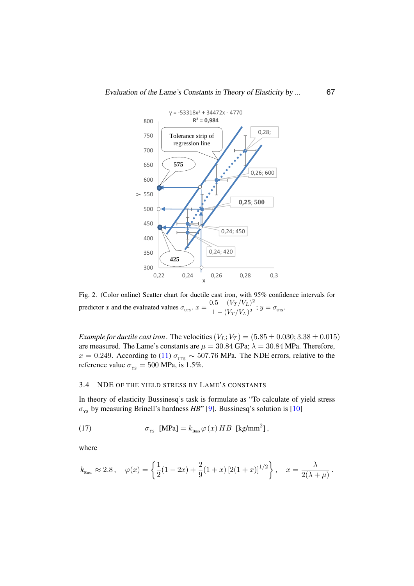

<span id="page-5-0"></span> $\alpha$  evaluated values  $\sigma_{\text{UTS}}$ ,  $x = \frac{0.5 - (V_T/V_L)^2}{1 - (V_T/V_L)^2}$ <sup>*x*</sup><br>Fig. 2. (Color online) Scatter chart for ductile cast iron, with 95% confidence intervals for *x* Ę  $\mathfrak{c}$ predictor x and the evaluated values  $\sigma_{\text{UTS}}$ .  $x = \frac{0.5 - (V_T/V_L)^2}{1 - (V_T/V_L)^2}$  $\frac{(V_I/V_L)}{1-(V_T/V_L)^2}; y = \sigma_{\text{UTS}}.$ 

*Example for ductile cast iron*. The velocities  $(V_L; V_T) = (5.85 \pm 0.030; 3.38 \pm 0.015)$ are measured. The Lame's constants are  $\mu = 30.84$  GPa;  $\lambda = 30.84$  MPa. Therefore, *Ference value*  $\sigma_{\text{ys}} = 500 \text{ MPa}$ , is 1.5%.  $x = 0.249$ . According to [\(11\)](#page-3-1)  $\sigma_{\text{UTS}} \sim 507.76$  MPa. The NDE errors, relative to the

#### The Lame's constants are 30.84*GPa* ; 3.4 NDE OF THE YIELD STRESS BY LAME'S CONSTANTS

*YS* , *MPa* = 500, is 1.5 %. In theory of elasticity Bussinesq's task is formulate as "To calculate of yield stress  $\sigma_{\text{ys}}$  by measuring Brinell's hardness *HB*" [\[9\]](#page-8-2). Bussinesq's solution is [\[10\]](#page-8-3)

2.4. *NDE* OF THE YIELD STRESS BY LAME'S CONSTANTS

(17) 
$$
\sigma_{\text{ys}} \text{ [MPa]} = k_{\text{Buss}} \varphi(x) H B \text{ [kg/mm}^2],
$$

where

$$
k_{\text{Buss}} \approx 2.8
$$
,  $\varphi(x) = \left\{ \frac{1}{2} (1 - 2x) + \frac{2}{9} (1 + x) [2(1 + x)]^{1/2} \right\}$ ,  $x = \frac{\lambda}{2(\lambda + \mu)}$ .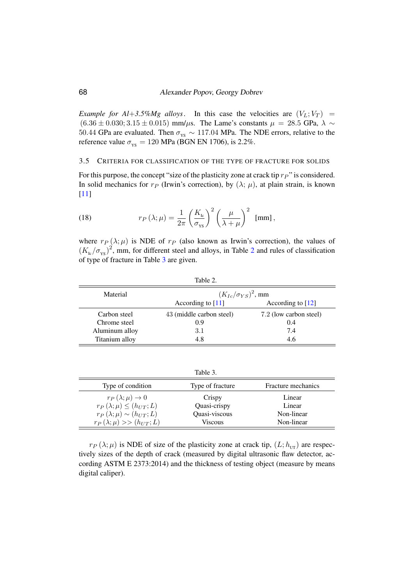*Example for Al*+3.5%*Mg alloys*. In this case the velocities are  $(V_L; V_T)$  =  $(6.36 \pm 0.030; 3.15 \pm 0.015)$  mm/ $\mu$ s. The Lame's constants  $\mu = 28.5$  GPa,  $\lambda \sim$ 50.44 GPa are evaluated. Then  $\sigma_{\text{ys}} \sim 117.04$  MPa. The NDE errors, relative to the reference value  $\sigma_{\rm vs} = 120$  MPa (BGN EN 1706), is 2.2%.

### 3.5 CRITERIA FOR CLASSIFICATION OF THE TYPE OF FRACTURE FOR SOLIDS

For this purpose, the concept "size of the plasticity zone at crack tip  $r_P$ " is considered. In solid mechanics for  $r_P$  (Irwin's correction), by  $(\lambda; \mu)$ , at plain strain, is known [\[11\]](#page-8-4)

<span id="page-6-2"></span>(18) 
$$
r_P(\lambda;\mu) = \frac{1}{2\pi} \left(\frac{K_{\rm lc}}{\sigma_{\rm YS}}\right)^2 \left(\frac{\mu}{\lambda+\mu}\right)^2 \text{ [mm]},
$$

where  $r_P(\lambda; \mu)$  is NDE of  $r_P$  (also known as Irwin's correction), the values of  $(K_{\text{Ic}}/\sigma_{\text{YS}})^2$  $(K_{\text{Ic}}/\sigma_{\text{YS}})^2$ , mm, for different steel and alloys, in Table 2 and rules of classification of type of fracture in Table [3](#page-6-1) are given.

| Table 2.       |                               |                        |  |
|----------------|-------------------------------|------------------------|--|
| Material       | $(K_{Ic}/\sigma_{YS})^2$ , mm |                        |  |
|                | According to $[11]$           | According to $[12]$    |  |
| Carbon steel   | 43 (middle carbon steel)      | 7.2 (low carbon steel) |  |
| Chrome steel   | 0.9                           | 0.4                    |  |
| Aluminum alloy | 3.1                           | 7.4                    |  |
| Titanium alloy | 4.8                           | 4.6                    |  |

<span id="page-6-1"></span><span id="page-6-0"></span>Table 3.

| Type of condition                  | Type of fracture | <b>Fracture mechanics</b> |
|------------------------------------|------------------|---------------------------|
| $r_P(\lambda;\mu)\to 0$            | Crispy           | Linear                    |
| $r_P(\lambda;\mu) \leq (h_{UT};L)$ | Quasi-crispy     | Linear                    |
| $r_P(\lambda;\mu) \sim (h_{UT};L)$ | Quasi-viscous    | Non-linear                |
| $r_P(\lambda;\mu) >> (h_{UT};L)$   | <b>Viscous</b>   | Non-linear                |

 $r_P(\lambda;\mu)$  is NDE of size of the plasticity zone at crack tip,  $(L; h_{\text{tr}})$  are respectively sizes of the depth of crack (measured by digital ultrasonic flaw detector, according ASTM E 2373:2014) and the thickness of testing object (measure by means digital caliper).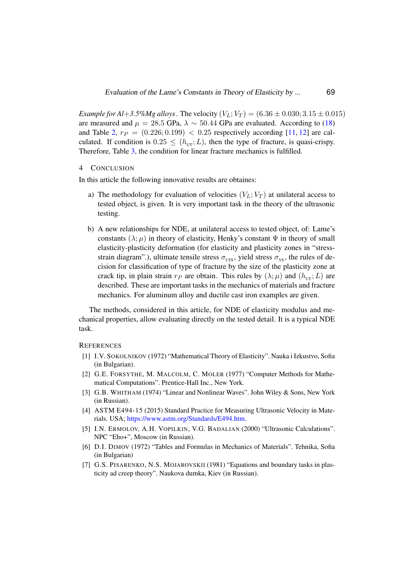*Example for Al*+3.5%*Mg alloys*. The velocity  $(V_L; V_T) = (6.36 \pm 0.030; 3.15 \pm 0.015)$ are measured and  $\mu = 28.5$  GPa,  $\lambda \sim 50.44$  GPa are evaluated. According to [\(18\)](#page-6-2) and Table [2,](#page-6-0)  $r_P = (0.226; 0.199) < 0.25$  respectively according [\[11,](#page-8-4) [12\]](#page-8-5) are calculated. If condition is  $0.25 \leq (h_{\text{UT}};L)$ , then the type of fracture, is quasi-crispy. Therefore, Table [3,](#page-6-1) the condition for linear fracture mechanics is fulfilled.

#### 4 CONCLUSION

In this article the following innovative results are obtaines:

- a) The methodology for evaluation of velocities  $(V_L; V_T)$  at unilateral access to tested object, is given. It is very important task in the theory of the ultrasonic testing.
- b) A new relationships for NDE, at unilateral access to tested object, of: Lame's constants  $(\lambda; \mu)$  in theory of elasticity, Henky's constant  $\Psi$  in theory of small elasticity-plasticity deformation (for elasticity and plasticity zones in "stressstrain diagram".), ultimate tensile stress  $\sigma_{\text{UTS}}$ , yield stress  $\sigma_{\text{YS}}$ , the rules of decision for classification of type of fracture by the size of the plasticity zone at crack tip, in plain strain  $r_P$  are obtain. This rules by  $(\lambda; \mu)$  and  $(h_{\text{tr}};L)$  are described. These are important tasks in the mechanics of materials and fracture mechanics. For aluminum alloy and ductile cast iron examples are given.

The methods, considered in this article, for NDE of elasticity modulus and mechanical properties, allow evaluating directly on the tested detail. It is a typical NDE task.

#### <span id="page-7-0"></span>**REFERENCES**

- [1] I.V. SOKOLNIKOV (1972) "Mathematical Theory of Elasticity". Nauka i Izkustvo, Sofia (in Bulgarian).
- <span id="page-7-1"></span>[2] G.E. FORSYTHE, M. MALCOLM, C. MOLER (1977) "Computer Methods for Mathematical Computations". Prentice-Hall Inc., New York.
- <span id="page-7-2"></span>[3] G.B. WHITHAM (1974) "Linear and Nonlinear Waves". John Wiley & Sons, New York (in Russian).
- <span id="page-7-3"></span>[4] ASTM E494-15 (2015) Standard Practice for Measuring Ultrasonic Velocity in Materials. USA; [https://www.astm.org/Standards/E494.htm.](https://www.astm.org/Standards/E494.htm)
- <span id="page-7-4"></span>[5] I.N. ERMOLOV, A.H. VOPILKIN, V.G. BADALIAN (2000) "Ultrasonic Calculations". NPC "Eho+", Moscow (in Russian).
- <span id="page-7-5"></span>[6] D.I. DIMOV (1972) "Tables and Formulas in Mechanics of Materials". Tehnika, Sofia (in Bulgarian)
- <span id="page-7-6"></span>[7] G.S. PISARENKO, N.S. MOJAROVSKII (1981) "Equations and boundary tasks in plasticity ad creep theory". Naukova dumka, Kiev (in Russian).